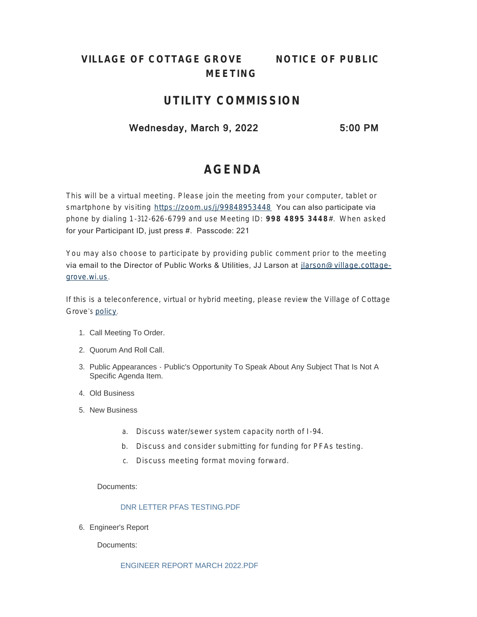# **VILLAGE OF COTTAGE GROVE** *NOTICE OF PUBLIC MEETING*

# **UTILITY COMMISSION**

# Wednesday, March 9, 2022 5:00 PM

# **AGENDA**

This will be a virtual meeting. Please join the meeting from your computer, tablet or smartphone by visiting <https://zoom.us/j/99848953448> You can also participate via phone by dialing 1-312-626-6799 and use Meeting ID: **998 4895 3448** #. When asked for your Participant ID, just press #. Passcode: 221

You may also choose to participate by providing public comment prior to the meeting via email to the Director of Public Works & Utilities, JJ Larson at [jlarson@village.cottage](mailto:jlarson@village.cottage-grove.wi.us)grove.wi.us.

If this is a teleconference, virtual or hybrid meeting, please review the Village of Cottage Grove's [policy](https://www.vi.cottagegrove.wi.gov/DocumentCenter/View/1850/Virtual-Hybrid-Tele-meeting-Policy-Final).

- 1. Call Meeting To Order.
- 2. Quorum And Roll Call.
- 3. Public Appearances Public's Opportunity To Speak About Any Subject That Is Not A Specific Agenda Item.
- Old Business 4.
- 5. New Business
	- a. Discuss water/sewer system capacity north of I-94.
	- b. Discuss and consider submitting for funding for PFAs testing.
	- c. Discuss meeting format moving forward.

## Documents:

## DNR LETTER PFAS TESTING.PDF

6. Engineer's Report

Documents: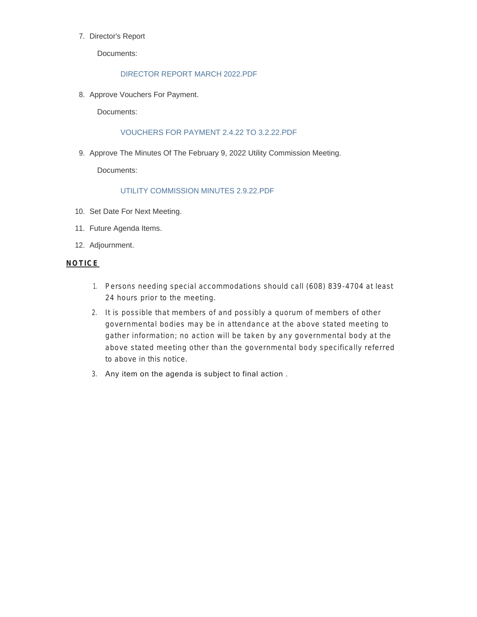#### 7. Director's Report

Documents:

#### DIRECTOR REPORT MARCH 2022.PDF

8. Approve Vouchers For Payment.

Documents:

#### VOUCHERS FOR PAYMENT 2.4.22 TO 3.2.22.PDF

9. Approve The Minutes Of The February 9, 2022 Utility Commission Meeting.

Documents:

## UTILITY COMMISSION MINUTES 2.9.22.PDF

- 10. Set Date For Next Meeting.
- 11. Future Agenda Items.
- 12. Adjournment.

#### **NOTICE**

- 1. Persons needing special accommodations should call (608) 839-4704 at least 24 hours prior to the meeting.
- 2. It is possible that members of and possibly a quorum of members of other governmental bodies may be in attendance at the above stated meeting to gather information; no action will be taken by any governmental body at the above stated meeting other than the governmental body specifically referred to above in this notice.
- 3. Any item on the agenda is subject to final action .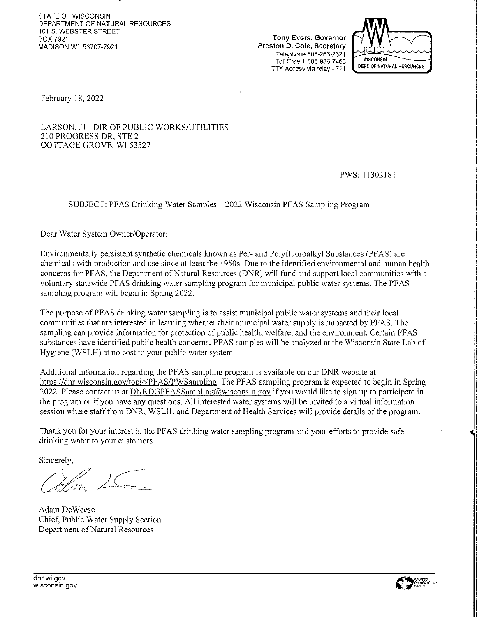STATE OF WISCONSIN DEPARTMENT OF NATURAL RESOURCES 101 S. WEBSTER STREET **BOX 7921** MADISON WI 53707-7921

Tony Evers, Governor Preston D. Cole, Secretary Telephone 608-266-2621 Toll Free 1-888-936-7463 TTY Access via relay - 711



February 18, 2022

LARSON, JJ - DIR OF PUBLIC WORKS/UTILITIES 210 PROGRESS DR. STE 2 COTTAGE GROVE, WI 53527

PWS: 11302181

SUBJECT: PFAS Drinking Water Samples - 2022 Wisconsin PFAS Sampling Program

Dear Water System Owner/Operator:

Environmentally persistent synthetic chemicals known as Per- and Polyfluoroalkyl Substances (PFAS) are chemicals with production and use since at least the 1950s. Due to the identified environmental and human health concerns for PFAS, the Department of Natural Resources (DNR) will fund and support local communities with a voluntary statewide PFAS drinking water sampling program for municipal public water systems. The PFAS sampling program will begin in Spring 2022.

чă

The purpose of PFAS drinking water sampling is to assist municipal public water systems and their local communities that are interested in learning whether their municipal water supply is impacted by PFAS. The sampling can provide information for protection of public health, welfare, and the environment. Certain PFAS substances have identified public health concerns. PFAS samples will be analyzed at the Wisconsin State Lab of Hygiene (WSLH) at no cost to your public water system.

Additional information regarding the PFAS sampling program is available on our DNR website at https://dnr.wisconsin.gov/topic/PFAS/PWSampling. The PFAS sampling program is expected to begin in Spring 2022. Please contact us at DNRDGPFASSampling@wisconsin.gov if you would like to sign up to participate in the program or if you have any questions. All interested water systems will be invited to a virtual information session where staff from DNR, WSLH, and Department of Health Services will provide details of the program.

Thank you for your interest in the PFAS drinking water sampling program and your efforts to provide safe drinking water to your customers.

Sincerely,

Adam DeWeese Chief, Public Water Supply Section Department of Natural Resources

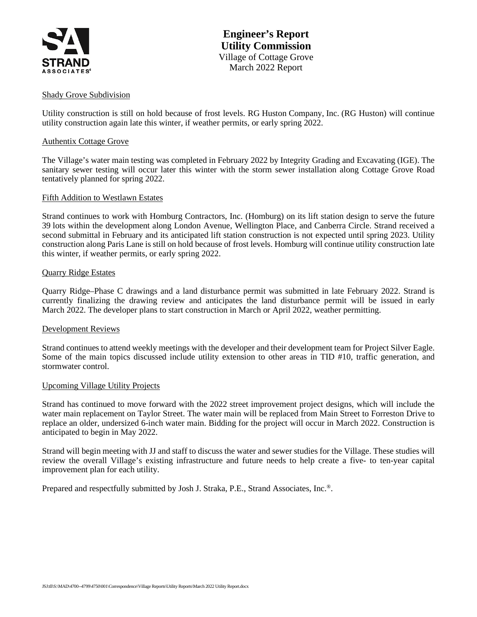

#### Shady Grove Subdivision

Utility construction is still on hold because of frost levels. RG Huston Company, Inc. (RG Huston) will continue utility construction again late this winter, if weather permits, or early spring 2022.

#### Authentix Cottage Grove

The Village's water main testing was completed in February 2022 by Integrity Grading and Excavating (IGE). The sanitary sewer testing will occur later this winter with the storm sewer installation along Cottage Grove Road tentatively planned for spring 2022.

#### Fifth Addition to Westlawn Estates

Strand continues to work with Homburg Contractors, Inc. (Homburg) on its lift station design to serve the future 39 lots within the development along London Avenue, Wellington Place, and Canberra Circle. Strand received a second submittal in February and its anticipated lift station construction is not expected until spring 2023. Utility construction along Paris Lane is still on hold because of frost levels. Homburg will continue utility construction late this winter, if weather permits, or early spring 2022.

#### Quarry Ridge Estates

Quarry Ridge–Phase C drawings and a land disturbance permit was submitted in late February 2022. Strand is currently finalizing the drawing review and anticipates the land disturbance permit will be issued in early March 2022. The developer plans to start construction in March or April 2022, weather permitting.

#### Development Reviews

Strand continues to attend weekly meetings with the developer and their development team for Project Silver Eagle. Some of the main topics discussed include utility extension to other areas in TID #10, traffic generation, and stormwater control.

#### Upcoming Village Utility Projects

Strand has continued to move forward with the 2022 street improvement project designs, which will include the water main replacement on Taylor Street. The water main will be replaced from Main Street to Forreston Drive to replace an older, undersized 6-inch water main. Bidding for the project will occur in March 2022. Construction is anticipated to begin in May 2022.

Strand will begin meeting with JJ and staff to discuss the water and sewer studies for the Village. These studies will review the overall Village's existing infrastructure and future needs to help create a five- to ten-year capital improvement plan for each utility.

Prepared and respectfully submitted by Josh J. Straka, P.E., Strand Associates, Inc.<sup>®</sup>.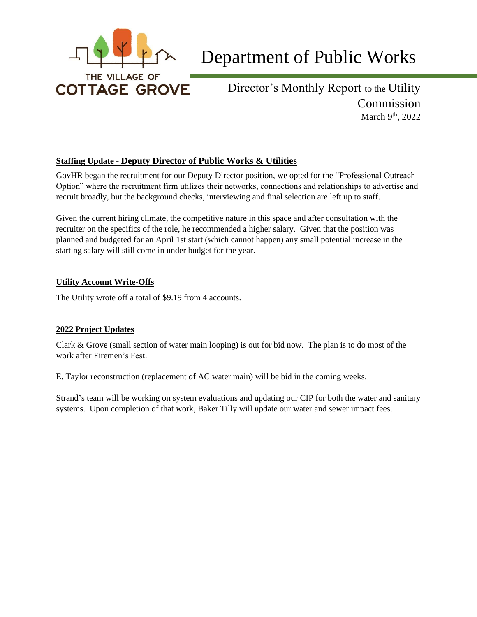

# Department of Public Works

Director's Monthly Report to the Utility Commission March  $9<sup>th</sup>$ , 2022

# **Staffing Update - Deputy Director of Public Works & Utilities**

GovHR began the recruitment for our Deputy Director position, we opted for the "Professional Outreach Option" where the recruitment firm utilizes their networks, connections and relationships to advertise and recruit broadly, but the background checks, interviewing and final selection are left up to staff.

Given the current hiring climate, the competitive nature in this space and after consultation with the recruiter on the specifics of the role, he recommended a higher salary. Given that the position was planned and budgeted for an April 1st start (which cannot happen) any small potential increase in the starting salary will still come in under budget for the year.

# **Utility Account Write-Offs**

The Utility wrote off a total of \$9.19 from 4 accounts.

# **2022 Project Updates**

Clark & Grove (small section of water main looping) is out for bid now. The plan is to do most of the work after Firemen's Fest.

E. Taylor reconstruction (replacement of AC water main) will be bid in the coming weeks.

Strand's team will be working on system evaluations and updating our CIP for both the water and sanitary systems. Upon completion of that work, Baker Tilly will update our water and sewer impact fees.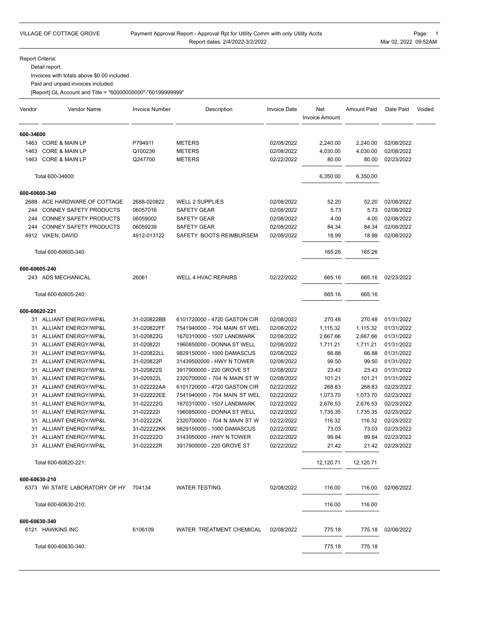#### Payment Approval Report - Approval Rpt for Utility Comm with only Utility Accts Report dates: 2/4/2022-3/2/2022

Report Criteria:

Detail report.

Invoices with totals above \$0.00 included.

Paid and unpaid invoices included.

[Report].GL Account and Title = "6000000000"-"60199999999"

| Vendor        | Vendor Name                           | <b>Invoice Number</b> | Description                  | <b>Invoice Date</b> | Net<br><b>Invoice Amount</b> | <b>Amount Paid</b> | Date Paid  | Voided |
|---------------|---------------------------------------|-----------------------|------------------------------|---------------------|------------------------------|--------------------|------------|--------|
| 600-34600     |                                       |                       |                              |                     |                              |                    |            |        |
|               | 1463 CORE & MAIN LP                   | P794911               | <b>METERS</b>                | 02/08/2022          | 2,240.00                     | 2,240.00           | 02/08/2022 |        |
| 1463          | <b>CORE &amp; MAIN LP</b>             | Q100236               | <b>METERS</b>                | 02/08/2022          | 4,030.00                     | 4,030.00           | 02/08/2022 |        |
| 1463          | <b>CORE &amp; MAIN LP</b>             | Q247700               | <b>METERS</b>                | 02/22/2022          | 80.00                        | 80.00              | 02/23/2022 |        |
|               | Total 600-34600:                      |                       |                              |                     | 6,350.00                     | 6,350.00           |            |        |
| 600-60600-340 |                                       |                       |                              |                     |                              |                    |            |        |
|               | 2688 ACE HARDWARE OF COTTAGE          | 2688-020822           | <b>WELL 2 SUPPLIES</b>       | 02/08/2022          | 52.20                        | 52.20              | 02/08/2022 |        |
| 244           | CONNEY SAFETY PRODUCTS                | 06057016              | <b>SAFETY GEAR</b>           | 02/08/2022          | 5.73                         | 5.73               | 02/08/2022 |        |
| 244           | <b>CONNEY SAFETY PRODUCTS</b>         | 06059002              | SAFETY GEAR                  | 02/08/2022          | 4.00                         | 4.00               | 02/08/2022 |        |
| 244           | CONNEY SAFETY PRODUCTS                | 06059239              | <b>SAFETY GEAR</b>           | 02/08/2022          | 84.34                        | 84.34              | 02/08/2022 |        |
|               | 4912 VIKEN, DAVID                     | 4912-013122           | SAFETY BOOTS REIMBURSEM      | 02/08/2022          | 18.99                        | 18.99              | 02/08/2022 |        |
|               | Total 600-60600-340:                  |                       |                              |                     | 165.26                       | 165.26             |            |        |
| 600-60605-240 |                                       |                       |                              |                     |                              |                    |            |        |
|               | 243 ADS MECHANICAL                    | 26061                 | <b>WELL 4 HVAC REPAIRS</b>   | 02/22/2022          | 665.16                       | 665.16             | 02/23/2022 |        |
|               | Total 600-60605-240:                  |                       |                              |                     | 665.16                       | 665.16             |            |        |
| 600-60620-221 |                                       |                       |                              |                     |                              |                    |            |        |
|               | 31 ALLIANT ENERGY/WP&L                | 31-020822BB           | 6101720000 - 4720 GASTON CIR | 02/08/2022          | 270.48                       | 270.48             | 01/31/2022 |        |
| 31            | ALLIANT ENERGY/WP&L                   | 31-020822FF           | 7541940000 - 704 MAIN ST WEL | 02/08/2022          | 1,115.32                     | 1,115.32           | 01/31/2022 |        |
| 31            | ALLIANT ENERGY/WP&L                   | 31-020822G            | 1670310000 - 1507 LANDMARK   | 02/08/2022          | 2,667.66                     | 2,667.66           | 01/31/2022 |        |
| 31            | ALLIANT ENERGY/WP&L                   | 31-0208221            | 1960850000 - DONNA ST WELL   | 02/08/2022          | 1,711.21                     | 1,711.21           | 01/31/2022 |        |
| 31            | ALLIANT ENERGY/WP&L                   | 31-020822LL           | 9829150000 - 1000 DAMASCUS   | 02/08/2022          | 66.88                        | 66.88              | 01/31/2022 |        |
| 31            | ALLIANT ENERGY/WP&L                   | 31-020822P            | 31439500000 - HWY N TOWER    | 02/08/2022          | 99.50                        | 99.50              | 01/31/2022 |        |
| 31            | ALLIANT ENERGY/WP&L                   | 31-020822S            | 3917900000 - 220 GROVE ST    | 02/08/2022          | 23.43                        | 23.43              | 01/31/2022 |        |
| 31            | ALLIANT ENERGY/WP&L                   | 31-020922L            | 2320700000 - 704 N MAIN ST W | 02/08/2022          | 101.21                       | 101.21             | 01/31/2022 |        |
| 31            | ALLIANT ENERGY/WP&L                   | 31-022222AA           | 6101720000 - 4720 GASTON CIR | 02/22/2022          | 268.83                       | 268.83             | 02/23/2022 |        |
| 31            | ALLIANT ENERGY/WP&L                   | 31-022222EE           | 7541940000 - 704 MAIN ST WEL | 02/22/2022          | 1,073.70                     | 1,073.70           | 02/23/2022 |        |
| 31            | ALLIANT ENERGY/WP&L                   | 31-022222G            | 1670310000 - 1507 LANDMARK   | 02/22/2022          | 2,676.53                     | 2,676.53           | 02/23/2022 |        |
| 31            | ALLIANT ENERGY/WP&L                   | 31-0222221            | 1960850000 - DONNA ST WELL   | 02/22/2022          | 1,735.35                     | 1,735.35           | 02/23/2022 |        |
| 31            | ALLIANT ENERGY/WP&L                   | 31-022222K            | 2320700000 - 704 N MAIN ST W | 02/22/2022          | 116.32                       | 116.32             | 02/23/2022 |        |
| 31            | ALLIANT ENERGY/WP&L                   | 31-022222KK           | 9829150000 - 1000 DAMASCUS   | 02/22/2022          | 73.03                        | 73.03              | 02/23/2022 |        |
| 31            | ALLIANT ENERGY/WP&L                   | 31-0222220            | 3143950000 - HWY N TOWER     | 02/22/2022          | 99.84                        | 99.84              | 02/23/2022 |        |
|               | 31 ALLIANT ENERGY/WP&L                | 31-022222R            | 3917900000 - 220 GROVE ST    | 02/22/2022          | 21.42                        | 21.42              | 02/23/2022 |        |
|               | Total 600-60620-221:                  |                       |                              |                     | 12,120.71                    | 12,120.71          |            |        |
| 600-60630-210 |                                       |                       |                              |                     |                              |                    |            |        |
|               | 6373 WI STATE LABORATORY OF HY 704134 |                       | <b>WATER TESTING</b>         | 02/08/2022          | 116.00                       | 116.00             | 02/08/2022 |        |
|               | Total 600-60630-210:                  |                       |                              |                     | 116.00                       | 116.00             |            |        |
| 600-60630-340 |                                       |                       |                              |                     |                              |                    |            |        |
|               | 6121 HAWKINS INC                      | 6106109               | WATER TREATMENT CHEMICAL     | 02/08/2022          | 775.18                       | 775.18             | 02/08/2022 |        |
|               | Total 600-60630-340:                  |                       |                              |                     | 775.18                       | 775.18             |            |        |
|               |                                       |                       |                              |                     |                              |                    |            |        |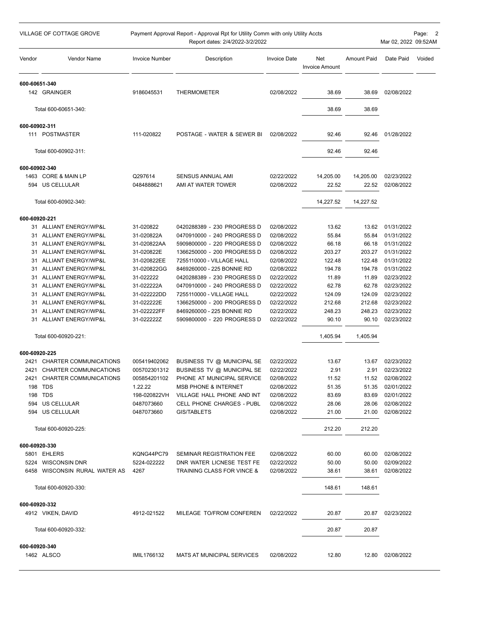|               | VILLAGE OF COTTAGE GROVE                      |                            | Payment Approval Report - Approval Rpt for Utility Comm with only Utility Accts<br>Report dates: 2/4/2022-3/2/2022 |                          |                              |                    | Mar 02, 2022 09:52AM           | Page: 2 |
|---------------|-----------------------------------------------|----------------------------|--------------------------------------------------------------------------------------------------------------------|--------------------------|------------------------------|--------------------|--------------------------------|---------|
| Vendor        | <b>Vendor Name</b>                            | <b>Invoice Number</b>      | Description                                                                                                        | <b>Invoice Date</b>      | Net<br><b>Invoice Amount</b> | <b>Amount Paid</b> | Date Paid                      | Voided  |
| 600-60651-340 | 142 GRAINGER                                  | 9186045531                 | <b>THERMOMETER</b>                                                                                                 | 02/08/2022               | 38.69                        |                    | 02/08/2022                     |         |
|               |                                               |                            |                                                                                                                    |                          |                              | 38.69              |                                |         |
|               | Total 600-60651-340:                          |                            |                                                                                                                    |                          | 38.69                        | 38.69              |                                |         |
| 600-60902-311 |                                               |                            |                                                                                                                    |                          |                              |                    |                                |         |
|               | 111 POSTMASTER                                | 111-020822                 | POSTAGE - WATER & SEWER BI                                                                                         | 02/08/2022               | 92.46                        | 92.46              | 01/28/2022                     |         |
|               | Total 600-60902-311:                          |                            |                                                                                                                    |                          | 92.46                        | 92.46              |                                |         |
| 600-60902-340 |                                               |                            |                                                                                                                    |                          |                              |                    |                                |         |
|               | 1463 CORE & MAIN LP                           | Q297614                    | <b>SENSUS ANNUAL AMI</b>                                                                                           | 02/22/2022               | 14,205.00                    | 14,205.00          | 02/23/2022                     |         |
|               | 594 US CELLULAR                               | 0484888621                 | AMI AT WATER TOWER                                                                                                 | 02/08/2022               | 22.52                        | 22.52              | 02/08/2022                     |         |
|               | Total 600-60902-340:                          |                            |                                                                                                                    |                          | 14,227.52                    | 14,227.52          |                                |         |
| 600-60920-221 |                                               |                            |                                                                                                                    |                          |                              |                    |                                |         |
|               | 31 ALLIANT ENERGY/WP&L                        | 31-020822                  | 0420288389 - 230 PROGRESS D                                                                                        | 02/08/2022               | 13.62                        | 13.62              | 01/31/2022                     |         |
|               | 31 ALLIANT ENERGY/WP&L                        | 31-020822A                 | 0470910000 - 240 PROGRESS D                                                                                        | 02/08/2022               | 55.84                        | 55.84              | 01/31/2022                     |         |
|               | 31 ALLIANT ENERGY/WP&L                        | 31-020822AA                | 5909800000 - 220 PROGRESS D                                                                                        | 02/08/2022               | 66.18                        | 66.18              | 01/31/2022                     |         |
| 31            | <b>ALLIANT ENERGY/WP&amp;L</b>                | 31-020822E                 | 1366250000 - 200 PROGRESS D                                                                                        | 02/08/2022               | 203.27<br>122.48             | 203.27             | 01/31/2022                     |         |
| 31            | ALLIANT ENERGY/WP&L<br>31 ALLIANT ENERGY/WP&L | 31-020822EE<br>31-020822GG | 7255110000 - VILLAGE HALL<br>8469260000 - 225 BONNIE RD                                                            | 02/08/2022<br>02/08/2022 | 194.78                       | 122.48<br>194.78   | 01/31/2022<br>01/31/2022       |         |
| 31            | ALLIANT ENERGY/WP&L                           | 31-022222                  | 0420288389 - 230 PROGRESS D                                                                                        | 02/22/2022               | 11.89                        | 11.89              | 02/23/2022                     |         |
|               | 31 ALLIANT ENERGY/WP&L                        | 31-022222A                 | 0470910000 - 240 PROGRESS D                                                                                        | 02/22/2022               | 62.78                        | 62.78              | 02/23/2022                     |         |
| 31            | ALLIANT ENERGY/WP&L                           | 31-022222DD                | 7255110000 - VILLAGE HALL                                                                                          | 02/22/2022               | 124.09                       | 124.09             | 02/23/2022                     |         |
| 31            | ALLIANT ENERGY/WP&L                           | 31-022222E                 | 1366250000 - 200 PROGRESS D                                                                                        | 02/22/2022               | 212.68                       | 212.68             | 02/23/2022                     |         |
| 31            | ALLIANT ENERGY/WP&L                           | 31-022222FF                | 8469260000 - 225 BONNIE RD                                                                                         | 02/22/2022               | 248.23                       | 248.23             | 02/23/2022                     |         |
| 31            | ALLIANT ENERGY/WP&L                           | 31-022222Z                 | 5909800000 - 220 PROGRESS D                                                                                        | 02/22/2022               | 90.10                        | 90.10              | 02/23/2022                     |         |
|               | Total 600-60920-221:                          |                            |                                                                                                                    |                          | 1,405.94                     | 1,405.94           |                                |         |
| 600-60920-225 |                                               |                            |                                                                                                                    |                          |                              |                    |                                |         |
|               | 2421 CHARTER COMMUNICATIONS                   | 005419402062               | BUSINESS TV @ MUNICIPAL SE                                                                                         | 02/22/2022               | 13.67                        | 13.67              | 02/23/2022                     |         |
|               | 2421 CHARTER COMMUNICATIONS                   | 005702301312               | BUSINESS TV @ MUNICIPAL SE                                                                                         | 02/22/2022               | 2.91                         | 2.91               | 02/23/2022                     |         |
|               | 2421 CHARTER COMMUNICATIONS                   | 005854201102               | PHONE AT MUNICIPAL SERVICE                                                                                         | 02/08/2022               | 11.52                        | 11.52              | 02/08/2022                     |         |
|               | 198 TDS<br>198 TDS                            | 1.22.22<br>198-020822VH    | <b>MSB PHONE &amp; INTERNET</b><br>VILLAGE HALL PHONE AND INT                                                      | 02/08/2022<br>02/08/2022 | 51.35<br>83.69               | 83.69              | 51.35 02/01/2022<br>02/01/2022 |         |
|               | 594 US CELLULAR                               | 0487073660                 | CELL PHONE CHARGES - PUBL                                                                                          | 02/08/2022               | 28.06                        | 28.06              | 02/08/2022                     |         |
|               | 594 US CELLULAR                               | 0487073660                 | GIS/TABLETS                                                                                                        | 02/08/2022               | 21.00                        | 21.00              | 02/08/2022                     |         |
|               | Total 600-60920-225:                          |                            |                                                                                                                    |                          | 212.20                       | 212.20             |                                |         |
| 600-60920-330 |                                               |                            |                                                                                                                    |                          |                              |                    |                                |         |
|               | 5801 EHLERS                                   | KQNG44PC79                 | SEMINAR REGISTRATION FEE                                                                                           | 02/08/2022               | 60.00                        | 60.00              | 02/08/2022                     |         |
|               | 5224 WISCONSIN DNR                            | 5224-022222                | DNR WATER LICNESE TEST FE                                                                                          | 02/22/2022               | 50.00                        | 50.00              | 02/09/2022                     |         |
|               | 6458 WISCONSIN RURAL WATER AS                 | 4267                       | <b>TRAINING CLASS FOR VINCE &amp;</b>                                                                              | 02/08/2022               | 38.61                        | 38.61              | 02/08/2022                     |         |
|               | Total 600-60920-330:                          |                            |                                                                                                                    |                          | 148.61                       | 148.61             |                                |         |
| 600-60920-332 |                                               |                            |                                                                                                                    |                          |                              |                    |                                |         |
|               | 4912 VIKEN, DAVID                             | 4912-021522                | MILEAGE TO/FROM CONFEREN                                                                                           | 02/22/2022               | 20.87                        | 20.87              | 02/23/2022                     |         |
|               | Total 600-60920-332:                          |                            |                                                                                                                    |                          | 20.87                        | 20.87              |                                |         |
| 600-60920-340 |                                               |                            |                                                                                                                    |                          |                              |                    |                                |         |
|               | 1462 ALSCO                                    | IMIL1766132                | MATS AT MUNICIPAL SERVICES                                                                                         | 02/08/2022               | 12.80                        | 12.80              | 02/08/2022                     |         |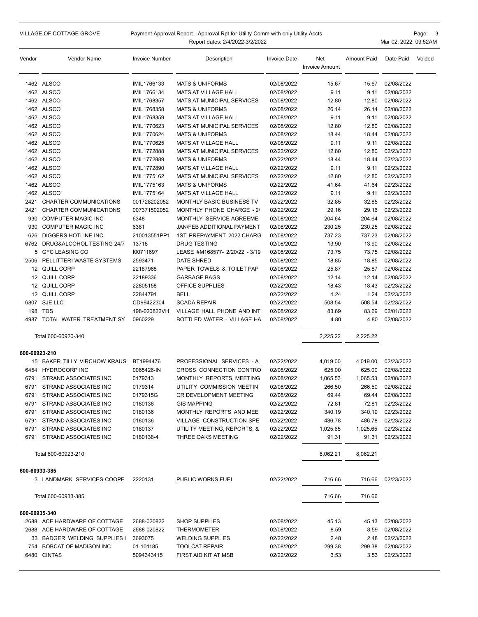VILLAGE OF COTTAGE GROVE

#### Payment Approval Report - Approval Rpt for Utility Comm with only Utility Accts Report dates: 2/4/2022-3/2/2022

Page: 3 Mar 02, 2022 09:52AM

| Vendor        | Vendor Name                   | Invoice Number | Description                       | <b>Invoice Date</b> | Net<br><b>Invoice Amount</b> | <b>Amount Paid</b> | Date Paid  | Voided |
|---------------|-------------------------------|----------------|-----------------------------------|---------------------|------------------------------|--------------------|------------|--------|
|               | 1462 ALSCO                    | IMIL1766133    | <b>MATS &amp; UNIFORMS</b>        | 02/08/2022          | 15.67                        | 15.67              | 02/08/2022 |        |
|               | 1462 ALSCO                    | IMIL1766134    | MATS AT VILLAGE HALL              | 02/08/2022          | 9.11                         | 9.11               | 02/08/2022 |        |
|               | 1462 ALSCO                    | IMIL1768357    | <b>MATS AT MUNICIPAL SERVICES</b> | 02/08/2022          | 12.80                        | 12.80              | 02/08/2022 |        |
|               | 1462 ALSCO                    | IMIL1768358    | <b>MATS &amp; UNIFORMS</b>        | 02/08/2022          | 26.14                        | 26.14              | 02/08/2022 |        |
|               | 1462 ALSCO                    | IMIL1768359    | <b>MATS AT VILLAGE HALL</b>       | 02/08/2022          | 9.11                         | 9.11               | 02/08/2022 |        |
|               | 1462 ALSCO                    | IMIL1770623    | <b>MATS AT MUNICIPAL SERVICES</b> | 02/08/2022          | 12.80                        | 12.80              | 02/08/2022 |        |
|               | 1462 ALSCO                    | IMIL1770624    | <b>MATS &amp; UNIFORMS</b>        | 02/08/2022          | 18.44                        | 18.44              | 02/08/2022 |        |
|               | 1462 ALSCO                    | IMIL1770625    | <b>MATS AT VILLAGE HALL</b>       | 02/08/2022          | 9.11                         | 9.11               | 02/08/2022 |        |
|               | 1462 ALSCO                    | IMIL1772888    | <b>MATS AT MUNICIPAL SERVICES</b> | 02/22/2022          | 12.80                        | 12.80              | 02/23/2022 |        |
|               | 1462 ALSCO                    | IMIL1772889    | <b>MATS &amp; UNIFORMS</b>        | 02/22/2022          | 18.44                        | 18.44              | 02/23/2022 |        |
|               | 1462 ALSCO                    | IMIL1772890    | <b>MATS AT VILLAGE HALL</b>       | 02/22/2022          | 9.11                         | 9.11               | 02/23/2022 |        |
|               | 1462 ALSCO                    | IMIL1775162    | <b>MATS AT MUNICIPAL SERVICES</b> | 02/22/2022          | 12.80                        | 12.80              | 02/23/2022 |        |
|               | 1462 ALSCO                    | IMIL1775163    | <b>MATS &amp; UNIFORMS</b>        | 02/22/2022          | 41.64                        | 41.64              | 02/23/2022 |        |
|               | 1462 ALSCO                    | IMIL1775164    | <b>MATS AT VILLAGE HALL</b>       | 02/22/2022          | 9.11                         | 9.11               | 02/23/2022 |        |
| 2421          | CHARTER COMMUNICATIONS        | 001728202052   | <b>MONTHLY BASIC BUSINESS TV</b>  | 02/22/2022          | 32.85                        | 32.85              | 02/23/2022 |        |
| 2421          | CHARTER COMMUNICATIONS        | 007371502052   | MONTHLY PHONE CHARGE - 2/         | 02/22/2022          | 29.16                        | 29.16              | 02/23/2022 |        |
|               |                               |                | MONTHLY SERVICE AGREEME           |                     |                              |                    |            |        |
| 930           | <b>COMPUTER MAGIC INC</b>     | 6348           |                                   | 02/08/2022          | 204.64                       | 204.64             | 02/08/2022 |        |
| 930           | <b>COMPUTER MAGIC INC</b>     | 6381           | <b>JAN/FEB ADDITIONAL PAYMENT</b> | 02/08/2022          | 230.25                       | 230.25             | 02/08/2022 |        |
| 626           | DIGGERS HOTLINE INC           | 210013551PP1   | 1ST PREPAYMENT 2022 CHARG         | 02/08/2022          | 737.23                       | 737.23             | 02/08/2022 |        |
| 6762          | DRUG&ALCOHOL TESTING 24/7     | 13718          | <b>DRUG TESTING</b>               | 02/08/2022          | 13.90                        | 13.90              | 02/08/2022 |        |
|               | 5 GFC LEASING CO              | 100711697      | LEASE #M168577- 2/20/22 - 3/19    | 02/08/2022          | 73.75                        | 73.75              | 02/08/2022 |        |
| 2506          | PELLITTERI WASTE SYSTEMS      | 2593471        | <b>DATE SHRED</b>                 | 02/08/2022          | 18.85                        | 18.85              | 02/08/2022 |        |
|               | 12 QUILL CORP                 | 22187968       | PAPER TOWELS & TOILET PAP         | 02/08/2022          | 25.87                        | 25.87              | 02/08/2022 |        |
|               | 12 QUILL CORP                 | 22189336       | <b>GARBAGE BAGS</b>               | 02/08/2022          | 12.14                        | 12.14              | 02/08/2022 |        |
|               | 12 QUILL CORP                 | 22805158       | OFFICE SUPPLIES                   | 02/22/2022          | 18.43                        | 18.43              | 02/23/2022 |        |
|               | 12 QUILL CORP                 | 22844791       | <b>BELL</b>                       | 02/22/2022          | 1.24                         | 1.24               | 02/23/2022 |        |
|               | 6807 SJE LLC                  | CD99422304     | <b>SCADA REPAIR</b>               | 02/22/2022          | 508.54                       | 508.54             | 02/23/2022 |        |
| 198           | TDS                           | 198-020822VH   | VILLAGE HALL PHONE AND INT        | 02/08/2022          | 83.69                        | 83.69              | 02/01/2022 |        |
|               | 4987 TOTAL WATER TREATMENT SY | 0960229        | BOTTLED WATER - VILLAGE HA        | 02/08/2022          | 4.80                         | 4.80               | 02/08/2022 |        |
|               | Total 600-60920-340:          |                |                                   |                     | 2,225.22                     | 2,225.22           |            |        |
| 600-60923-210 |                               |                |                                   |                     |                              |                    |            |        |
|               | 15 BAKER TILLY VIRCHOW KRAUS  | BT1994476      | PROFESSIONAL SERVICES - A         | 02/22/2022          | 4,019.00                     | 4,019.00           | 02/23/2022 |        |
|               | 6454 HYDROCORP INC            | 0065426-IN     | CROSS CONNECTION CONTRO           | 02/08/2022          | 625.00                       | 625.00             | 02/08/2022 |        |
|               | 6791 STRAND ASSOCIATES INC    | 0179313        | MONTHLY REPORTS, MEETING          | 02/08/2022          | 1,065.53                     | 1,065.53           | 02/08/2022 |        |
| 6791          | STRAND ASSOCIATES INC         | 0179314        | UTILITY COMMISSION MEETIN         | 02/08/2022          | 266.50                       | 266.50             | 02/08/2022 |        |
|               | 6791 STRAND ASSOCIATES INC    | 0179315G       | CR DEVELOPMENT MEETING            | 02/08/2022          | 69.44                        | 69.44              | 02/08/2022 |        |
|               | 6791 STRAND ASSOCIATES INC    | 0180136        | <b>GIS MAPPING</b>                | 02/22/2022          | 72.81                        | 72.81              | 02/23/2022 |        |
|               | 6791 STRAND ASSOCIATES INC    | 0180136        | MONTHLY REPORTS AND MEE           | 02/22/2022          | 340.19                       | 340.19             | 02/23/2022 |        |
|               | 6791 STRAND ASSOCIATES INC    | 0180136        | <b>VILLAGE CONSTRUCTION SPE</b>   | 02/22/2022          | 486.78                       | 486.78             | 02/23/2022 |        |
|               | 6791 STRAND ASSOCIATES INC    | 0180137        | UTILITY MEETING, REPORTS, &       | 02/22/2022          | 1,025.65                     | 1,025.65           | 02/23/2022 |        |
|               | 6791 STRAND ASSOCIATES INC    | 0180138-4      | THREE OAKS MEETING                | 02/22/2022          | 91.31                        | 91.31              | 02/23/2022 |        |
|               | Total 600-60923-210:          |                |                                   |                     | 8,062.21                     | 8,062.21           |            |        |
| 600-60933-385 |                               |                |                                   |                     |                              |                    |            |        |
|               | 3 LANDMARK SERVICES COOPE     | 2220131        | PUBLIC WORKS FUEL                 | 02/22/2022          | 716.66                       | 716.66             | 02/23/2022 |        |
|               |                               |                |                                   |                     |                              |                    |            |        |
|               | Total 600-60933-385:          |                |                                   |                     | 716.66                       | 716.66             |            |        |
| 600-60935-340 |                               |                |                                   |                     |                              |                    |            |        |
|               | 2688 ACE HARDWARE OF COTTAGE  | 2688-020822    | SHOP SUPPLIES                     | 02/08/2022          | 45.13                        | 45.13              | 02/08/2022 |        |
|               | 2688 ACE HARDWARE OF COTTAGE  | 2688-020822    | THERMOMETER                       | 02/08/2022          | 8.59                         | 8.59               | 02/08/2022 |        |
|               | 33 BADGER WELDING SUPPLIES I  | 3693075        | <b>WELDING SUPPLIES</b>           | 02/22/2022          | 2.48                         | 2.48               | 02/23/2022 |        |
|               | 754 BOBCAT OF MADISON INC     | 01-101185      | <b>TOOLCAT REPAIR</b>             | 02/08/2022          | 299.38                       | 299.38             | 02/08/2022 |        |
|               | 6480 CINTAS                   | 5094343415     | FIRST AID KIT AT MSB              | 02/22/2022          | 3.53                         | 3.53               | 02/23/2022 |        |
|               |                               |                |                                   |                     |                              |                    |            |        |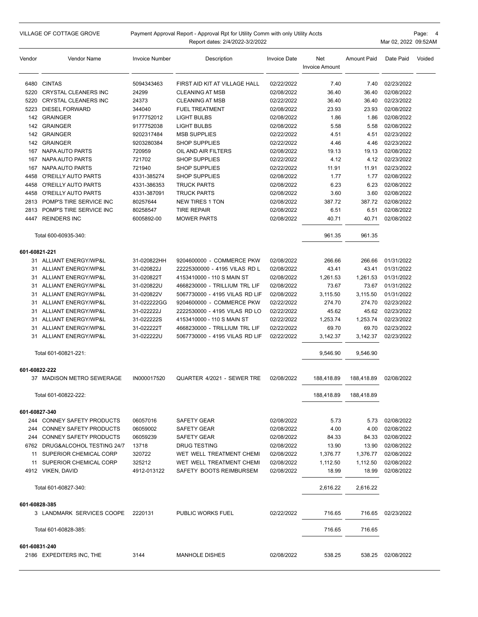|               | <b>VILLAGE OF COTTAGE GROVE</b>                              |                          | Payment Approval Report - Approval Rpt for Utility Comm with only Utility Accts<br>Report dates: 2/4/2022-3/2/2022 |                          |                              |                    | Mar 02, 2022 09:52AM     | Page: 4 |
|---------------|--------------------------------------------------------------|--------------------------|--------------------------------------------------------------------------------------------------------------------|--------------------------|------------------------------|--------------------|--------------------------|---------|
| Vendor        | Vendor Name                                                  | <b>Invoice Number</b>    | Description                                                                                                        | <b>Invoice Date</b>      | Net<br><b>Invoice Amount</b> | <b>Amount Paid</b> | Date Paid                | Voided  |
|               | 6480 CINTAS                                                  | 5094343463               | FIRST AID KIT AT VILLAGE HALL                                                                                      | 02/22/2022               | 7.40                         | 7.40               | 02/23/2022               |         |
| 5220          | <b>CRYSTAL CLEANERS INC</b>                                  | 24299                    | <b>CLEANING AT MSB</b>                                                                                             | 02/08/2022               | 36.40                        | 36.40              | 02/08/2022               |         |
| 5220          | <b>CRYSTAL CLEANERS INC</b>                                  | 24373                    | <b>CLEANING AT MSB</b>                                                                                             | 02/22/2022               | 36.40                        | 36.40              | 02/23/2022               |         |
| 5223          | <b>DIESEL FORWARD</b>                                        | 344040                   | <b>FUEL TREATMENT</b>                                                                                              | 02/08/2022               | 23.93                        | 23.93              | 02/08/2022               |         |
|               | 142 GRAINGER                                                 | 9177752012               | <b>LIGHT BULBS</b>                                                                                                 | 02/08/2022               | 1.86                         | 1.86               | 02/08/2022               |         |
|               | 142 GRAINGER                                                 | 9177752038               | <b>LIGHT BULBS</b>                                                                                                 | 02/08/2022               | 5.58                         | 5.58               | 02/08/2022               |         |
|               | 142 GRAINGER                                                 | 9202317484               | <b>MSB SUPPLIES</b>                                                                                                | 02/22/2022               | 4.51                         | 4.51               | 02/23/2022               |         |
|               | 142 GRAINGER                                                 | 9203280384               | <b>SHOP SUPPLIES</b>                                                                                               | 02/22/2022               | 4.46                         | 4.46               | 02/23/2022               |         |
| 167           | NAPA AUTO PARTS                                              | 720959                   | OIL AND AIR FILTERS                                                                                                | 02/08/2022               | 19.13                        | 19.13              | 02/08/2022               |         |
| 167           | NAPA AUTO PARTS                                              | 721702                   | <b>SHOP SUPPLIES</b>                                                                                               | 02/22/2022               | 4.12                         | 4.12               | 02/23/2022               |         |
| 167           | NAPA AUTO PARTS                                              | 721940                   | <b>SHOP SUPPLIES</b>                                                                                               | 02/22/2022               | 11.91                        | 11.91              | 02/23/2022               |         |
| 4458          | O'REILLY AUTO PARTS                                          | 4331-385274              | <b>SHOP SUPPLIES</b>                                                                                               | 02/08/2022               | 1.77                         | 1.77               | 02/08/2022               |         |
| 4458          | O'REILLY AUTO PARTS                                          | 4331-386353              | <b>TRUCK PARTS</b>                                                                                                 | 02/08/2022               | 6.23                         | 6.23               | 02/08/2022               |         |
| 4458          | O'REILLY AUTO PARTS                                          | 4331-387091              | <b>TRUCK PARTS</b>                                                                                                 | 02/08/2022               | 3.60                         | 3.60               | 02/08/2022               |         |
| 2813          | POMP'S TIRE SERVICE INC                                      | 80257644                 | <b>NEW TIRES 1 TON</b>                                                                                             | 02/08/2022               | 387.72                       | 387.72             | 02/08/2022               |         |
| 2813          | POMP'S TIRE SERVICE INC<br>4447 REINDERS INC                 | 80258547<br>6005892-00   | <b>TIRE REPAIR</b><br><b>MOWER PARTS</b>                                                                           | 02/08/2022<br>02/08/2022 | 6.51<br>40.71                | 6.51<br>40.71      | 02/08/2022<br>02/08/2022 |         |
|               | Total 600-60935-340:                                         |                          |                                                                                                                    |                          | 961.35                       | 961.35             |                          |         |
| 601-60821-221 |                                                              |                          |                                                                                                                    |                          |                              |                    |                          |         |
|               | 31 ALLIANT ENERGY/WP&L                                       | 31-020822HH              | 9204600000 - COMMERCE PKW                                                                                          | 02/08/2022               | 266.66                       | 266.66             | 01/31/2022               |         |
|               | 31 ALLIANT ENERGY/WP&L                                       | 31-020822J               | 22225300000 - 4195 VILAS RD L                                                                                      | 02/08/2022               | 43.41                        | 43.41              | 01/31/2022               |         |
| 31            | ALLIANT ENERGY/WP&L                                          | 31-020822T               | 4153410000 - 110 S MAIN ST                                                                                         | 02/08/2022               | 1,261.53                     | 1,261.53           | 01/31/2022               |         |
|               | 31 ALLIANT ENERGY/WP&L                                       | 31-020822U               | 4668230000 - TRILLIUM TRL LIF                                                                                      | 02/08/2022               | 73.67                        | 73.67              | 01/31/2022               |         |
| 31            | ALLIANT ENERGY/WP&L                                          | 31-020822V               | 5067730000 - 4195 VILAS RD LIF                                                                                     | 02/08/2022               | 3,115.50                     | 3,115.50           | 01/31/2022               |         |
|               | 31 ALLIANT ENERGY/WP&L                                       | 31-022222GG              | 9204600000 - COMMERCE PKW                                                                                          | 02/22/2022               | 274.70                       | 274.70             | 02/23/2022               |         |
|               | 31 ALLIANT ENERGY/WP&L                                       | 31-022222J               | 2222530000 - 4195 VILAS RD LO                                                                                      | 02/22/2022               | 45.62                        | 45.62              | 02/23/2022               |         |
| 31            | ALLIANT ENERGY/WP&L                                          | 31-022222S               | 4153410000 - 110 S MAIN ST                                                                                         | 02/22/2022               | 1,253.74                     | 1,253.74           | 02/23/2022               |         |
| 31            | ALLIANT ENERGY/WP&L<br>31 ALLIANT ENERGY/WP&L                | 31-022222T<br>31-022222U | 4668230000 - TRILLIUM TRL LIF<br>5067730000 - 4195 VILAS RD LIF                                                    | 02/22/2022<br>02/22/2022 | 69.70<br>3,142.37            | 69.70<br>3,142.37  | 02/23/2022<br>02/23/2022 |         |
|               | Total 601-60821-221:                                         |                          |                                                                                                                    |                          | 9,546.90                     | 9,546.90           |                          |         |
| 601-60822-222 |                                                              |                          |                                                                                                                    |                          |                              |                    |                          |         |
|               | 37 MADISON METRO SEWERAGE                                    | IN000017520              | QUARTER 4/2021 - SEWER TRE                                                                                         | 02/08/2022               | 188,418.89                   | 188,418.89         | 02/08/2022               |         |
|               | Total 601-60822-222:                                         |                          |                                                                                                                    |                          | 188,418.89                   | 188,418.89         |                          |         |
| 601-60827-340 |                                                              |                          |                                                                                                                    |                          |                              |                    |                          |         |
|               | 244 CONNEY SAFETY PRODUCTS                                   | 06057016                 | <b>SAFETY GEAR</b>                                                                                                 | 02/08/2022               | 5.73                         | 5.73               | 02/08/2022               |         |
|               | 244 CONNEY SAFETY PRODUCTS                                   | 06059002                 | SAFETY GEAR                                                                                                        | 02/08/2022               | 4.00                         | 4.00               | 02/08/2022               |         |
|               | 244 CONNEY SAFETY PRODUCTS<br>6762 DRUG&ALCOHOL TESTING 24/7 | 06059239<br>13718        | SAFETY GEAR                                                                                                        | 02/08/2022<br>02/08/2022 | 84.33                        | 84.33              | 02/08/2022<br>02/08/2022 |         |
|               | 11 SUPERIOR CHEMICAL CORP                                    | 320722                   | DRUG TESTING<br>WET WELL TREATMENT CHEMI                                                                           | 02/08/2022               | 13.90<br>1,376.77            | 13.90<br>1,376.77  | 02/08/2022               |         |
|               | 11 SUPERIOR CHEMICAL CORP                                    | 325212                   | WET WELL TREATMENT CHEMI                                                                                           | 02/08/2022               | 1,112.50                     | 1,112.50           | 02/08/2022               |         |
|               | 4912 VIKEN, DAVID                                            | 4912-013122              | SAFETY BOOTS REIMBURSEM                                                                                            | 02/08/2022               | 18.99                        | 18.99              | 02/08/2022               |         |
|               | Total 601-60827-340:                                         |                          |                                                                                                                    |                          | 2,616.22                     | 2,616.22           |                          |         |
| 601-60828-385 |                                                              |                          |                                                                                                                    |                          |                              |                    |                          |         |
|               | 3 LANDMARK SERVICES COOPE                                    | 2220131                  | PUBLIC WORKS FUEL                                                                                                  | 02/22/2022               | 716.65                       | 716.65             | 02/23/2022               |         |
|               | Total 601-60828-385:                                         |                          |                                                                                                                    |                          | 716.65                       | 716.65             |                          |         |
| 601-60831-240 |                                                              |                          |                                                                                                                    |                          |                              |                    |                          |         |
|               | 2186 EXPEDITERS INC, THE                                     | 3144                     | <b>MANHOLE DISHES</b>                                                                                              | 02/08/2022               | 538.25                       | 538.25             | 02/08/2022               |         |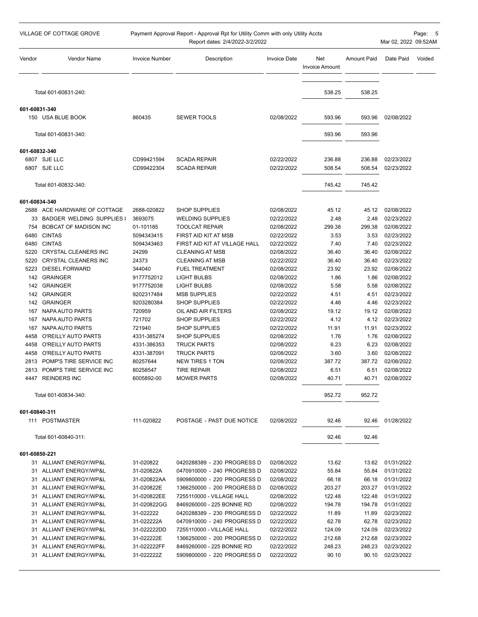| VILLAGE OF COTTAGE GROVE<br>Payment Approval Report - Approval Rpt for Utility Comm with only Utility Accts<br>Report dates: 2/4/2022-3/2/2022 |                                               |                          |                                                 | Mar 02, 2022 09:52AM     | Page: 5                      |                    |                          |        |
|------------------------------------------------------------------------------------------------------------------------------------------------|-----------------------------------------------|--------------------------|-------------------------------------------------|--------------------------|------------------------------|--------------------|--------------------------|--------|
| Vendor                                                                                                                                         | <b>Vendor Name</b>                            | <b>Invoice Number</b>    | Description                                     | <b>Invoice Date</b>      | Net<br><b>Invoice Amount</b> | <b>Amount Paid</b> | Date Paid                | Voided |
|                                                                                                                                                | Total 601-60831-240:                          |                          |                                                 |                          | 538.25                       | 538.25             |                          |        |
| 601-60831-340                                                                                                                                  |                                               |                          |                                                 |                          |                              |                    |                          |        |
|                                                                                                                                                | 150 USA BLUE BOOK                             | 860435                   | <b>SEWER TOOLS</b>                              | 02/08/2022               | 593.96                       | 593.96             | 02/08/2022               |        |
|                                                                                                                                                | Total 601-60831-340:                          |                          |                                                 |                          | 593.96                       | 593.96             |                          |        |
|                                                                                                                                                |                                               |                          |                                                 |                          |                              |                    |                          |        |
| 601-60832-340                                                                                                                                  |                                               |                          |                                                 |                          |                              |                    |                          |        |
|                                                                                                                                                | 6807 SJE LLC<br>6807 SJE LLC                  | CD99421594<br>CD99422304 | <b>SCADA REPAIR</b><br><b>SCADA REPAIR</b>      | 02/22/2022<br>02/22/2022 | 236.88<br>508.54             | 236.88<br>508.54   | 02/23/2022<br>02/23/2022 |        |
|                                                                                                                                                |                                               |                          |                                                 |                          |                              |                    |                          |        |
|                                                                                                                                                | Total 601-60832-340:                          |                          |                                                 |                          | 745.42                       | 745.42             |                          |        |
| 601-60834-340                                                                                                                                  |                                               |                          |                                                 |                          |                              |                    |                          |        |
|                                                                                                                                                | 2688 ACE HARDWARE OF COTTAGE                  | 2688-020822              | <b>SHOP SUPPLIES</b>                            | 02/08/2022               | 45.12                        | 45.12              | 02/08/2022               |        |
|                                                                                                                                                | 33 BADGER WELDING SUPPLIES I                  | 3693075                  | <b>WELDING SUPPLIES</b>                         | 02/22/2022               | 2.48                         | 2.48               | 02/23/2022               |        |
| 754                                                                                                                                            | <b>BOBCAT OF MADISON INC</b>                  | 01-101185                | <b>TOOLCAT REPAIR</b>                           | 02/08/2022               | 299.38                       | 299.38             | 02/08/2022               |        |
|                                                                                                                                                | 6480 CINTAS                                   | 5094343415               | FIRST AID KIT AT MSB                            | 02/22/2022               | 3.53                         | 3.53               | 02/23/2022               |        |
|                                                                                                                                                | 6480 CINTAS                                   | 5094343463               | FIRST AID KIT AT VILLAGE HALL                   | 02/22/2022               | 7.40                         | 7.40               | 02/23/2022               |        |
| 5220                                                                                                                                           | <b>CRYSTAL CLEANERS INC</b>                   | 24299                    | <b>CLEANING AT MSB</b>                          | 02/08/2022               | 36.40                        | 36.40              | 02/08/2022               |        |
| 5220<br>5223                                                                                                                                   | CRYSTAL CLEANERS INC<br><b>DIESEL FORWARD</b> | 24373<br>344040          | <b>CLEANING AT MSB</b><br><b>FUEL TREATMENT</b> | 02/22/2022<br>02/08/2022 | 36.40<br>23.92               | 36.40<br>23.92     | 02/23/2022<br>02/08/2022 |        |
|                                                                                                                                                | 142 GRAINGER                                  | 9177752012               | LIGHT BULBS                                     | 02/08/2022               | 1.86                         | 1.86               | 02/08/2022               |        |
|                                                                                                                                                | 142 GRAINGER                                  | 9177752038               | LIGHT BULBS                                     | 02/08/2022               | 5.58                         | 5.58               | 02/08/2022               |        |
|                                                                                                                                                | 142 GRAINGER                                  | 9202317484               | <b>MSB SUPPLIES</b>                             | 02/22/2022               | 4.51                         | 4.51               | 02/23/2022               |        |
|                                                                                                                                                | 142 GRAINGER                                  | 9203280384               | <b>SHOP SUPPLIES</b>                            | 02/22/2022               | 4.46                         | 4.46               | 02/23/2022               |        |
|                                                                                                                                                | 167 NAPA AUTO PARTS                           | 720959                   | OIL AND AIR FILTERS                             | 02/08/2022               | 19.12                        | 19.12              | 02/08/2022               |        |
|                                                                                                                                                | 167 NAPA AUTO PARTS                           | 721702                   | <b>SHOP SUPPLIES</b>                            | 02/22/2022               | 4.12                         | 4.12               | 02/23/2022               |        |
| 167                                                                                                                                            | NAPA AUTO PARTS                               | 721940                   | <b>SHOP SUPPLIES</b>                            | 02/22/2022               | 11.91                        | 11.91              | 02/23/2022               |        |
| 4458                                                                                                                                           | O'REILLY AUTO PARTS                           | 4331-385274              | <b>SHOP SUPPLIES</b>                            | 02/08/2022               | 1.76                         | 1.76               | 02/08/2022               |        |
| 4458                                                                                                                                           | O'REILLY AUTO PARTS                           | 4331-386353              | TRUCK PARTS                                     | 02/08/2022               | 6.23                         | 6.23               | 02/08/2022               |        |
| 4458                                                                                                                                           | O'REILLY AUTO PARTS                           | 4331-387091              | TRUCK PARTS                                     | 02/08/2022               | 3.60                         | 3.60               | 02/08/2022               |        |
| 2813                                                                                                                                           | POMP'S TIRE SERVICE INC                       | 80257644                 | <b>NEW TIRES 1 TON</b>                          | 02/08/2022               | 387.72                       | 387.72             | 02/08/2022               |        |
|                                                                                                                                                | 2813 POMP'S TIRE SERVICE INC                  | 80258547                 | TIRE REPAIR                                     | 02/08/2022               | 6.51                         | 6.51               | 02/08/2022               |        |
|                                                                                                                                                | 4447 REINDERS INC                             | 6005892-00               | <b>MOWER PARTS</b>                              | 02/08/2022               | 40.71                        | 40.71              | 02/08/2022               |        |
|                                                                                                                                                | Total 601-60834-340:                          |                          |                                                 |                          | 952.72                       | 952.72             |                          |        |
| 601-60840-311                                                                                                                                  |                                               |                          |                                                 |                          |                              |                    |                          |        |
|                                                                                                                                                | 111 POSTMASTER                                | 111-020822               | POSTAGE - PAST DUE NOTICE                       | 02/08/2022               | 92.46                        | 92.46              | 01/28/2022               |        |
|                                                                                                                                                | Total 601-60840-311:                          |                          |                                                 |                          | 92.46                        | 92.46              |                          |        |
| 601-60850-221                                                                                                                                  |                                               |                          |                                                 |                          |                              |                    |                          |        |
|                                                                                                                                                | 31 ALLIANT ENERGY/WP&L                        | 31-020822                | 0420288389 - 230 PROGRESS D                     | 02/08/2022               | 13.62                        | 13.62              | 01/31/2022               |        |
|                                                                                                                                                | 31 ALLIANT ENERGY/WP&L                        | 31-020822A               | 0470910000 - 240 PROGRESS D                     | 02/08/2022               | 55.84                        | 55.84              | 01/31/2022               |        |
|                                                                                                                                                | 31 ALLIANT ENERGY/WP&L                        | 31-020822AA              | 5909800000 - 220 PROGRESS D                     | 02/08/2022               | 66.18                        | 66.18              | 01/31/2022               |        |
|                                                                                                                                                | 31 ALLIANT ENERGY/WP&L                        | 31-020822E               | 1366250000 - 200 PROGRESS D                     | 02/08/2022               | 203.27                       | 203.27             | 01/31/2022               |        |
|                                                                                                                                                | 31 ALLIANT ENERGY/WP&L                        | 31-020822EE              | 7255110000 - VILLAGE HALL                       | 02/08/2022               | 122.48                       | 122.48             | 01/31/2022               |        |
|                                                                                                                                                | 31 ALLIANT ENERGY/WP&L                        | 31-020822GG              | 8469260000 - 225 BONNIE RD                      | 02/08/2022               | 194.78                       | 194.78             | 01/31/2022               |        |
|                                                                                                                                                | 31 ALLIANT ENERGY/WP&L                        | 31-022222                | 0420288389 - 230 PROGRESS D                     | 02/22/2022               | 11.89                        | 11.89              | 02/23/2022               |        |
|                                                                                                                                                | 31 ALLIANT ENERGY/WP&L                        | 31-022222A               | 0470910000 - 240 PROGRESS D                     | 02/22/2022               | 62.78                        | 62.78              | 02/23/2022               |        |
|                                                                                                                                                | 31 ALLIANT ENERGY/WP&L                        | 31-022222DD              | 7255110000 - VILLAGE HALL                       | 02/22/2022               | 124.09                       | 124.09             | 02/23/2022               |        |
|                                                                                                                                                | 31 ALLIANT ENERGY/WP&L                        | 31-022222E               | 1366250000 - 200 PROGRESS D                     | 02/22/2022               | 212.68                       | 212.68             | 02/23/2022               |        |
|                                                                                                                                                | 31 ALLIANT ENERGY/WP&L                        | 31-022222FF              | 8469260000 - 225 BONNIE RD                      | 02/22/2022               | 248.23                       | 248.23             | 02/23/2022               |        |
|                                                                                                                                                | 31 ALLIANT ENERGY/WP&L                        | 31-022222Z               | 5909800000 - 220 PROGRESS D                     | 02/22/2022               | 90.10                        | 90.10              | 02/23/2022               |        |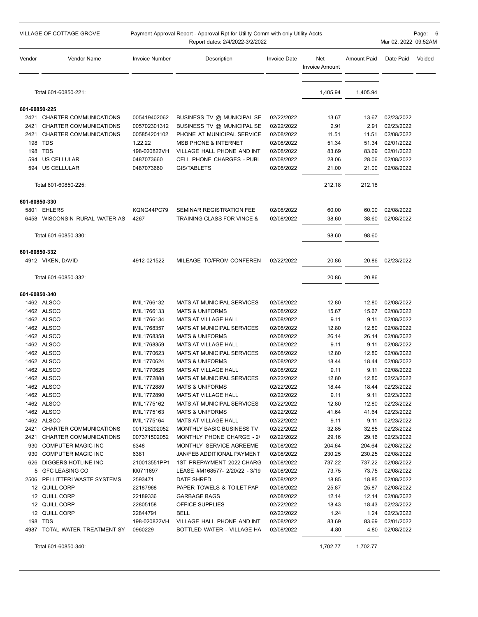|               | VILLAGE OF COTTAGE GROVE      | Payment Approval Report - Approval Rpt for Utility Comm with only Utility Accts<br>Report dates: 2/4/2022-3/2/2022 |                                                           |                          |                       |                    |                          | Page: 6<br>Mar 02, 2022 09:52AM |
|---------------|-------------------------------|--------------------------------------------------------------------------------------------------------------------|-----------------------------------------------------------|--------------------------|-----------------------|--------------------|--------------------------|---------------------------------|
| Vendor        | Vendor Name                   | <b>Invoice Number</b>                                                                                              | Description                                               | <b>Invoice Date</b>      | Net<br>Invoice Amount | <b>Amount Paid</b> | Date Paid                | Voided                          |
|               | Total 601-60850-221:          |                                                                                                                    |                                                           |                          | 1,405.94              | 1,405.94           |                          |                                 |
| 601-60850-225 |                               |                                                                                                                    |                                                           |                          |                       |                    |                          |                                 |
|               | 2421 CHARTER COMMUNICATIONS   | 005419402062                                                                                                       | BUSINESS TV @ MUNICIPAL SE                                | 02/22/2022               | 13.67                 | 13.67              | 02/23/2022               |                                 |
| 2421          | CHARTER COMMUNICATIONS        | 005702301312                                                                                                       | BUSINESS TV @ MUNICIPAL SE                                | 02/22/2022               | 2.91                  | 2.91               | 02/23/2022               |                                 |
| 2421          | CHARTER COMMUNICATIONS        | 005854201102                                                                                                       | PHONE AT MUNICIPAL SERVICE                                | 02/08/2022               | 11.51                 | 11.51              | 02/08/2022               |                                 |
|               | 198 TDS                       | 1.22.22                                                                                                            | <b>MSB PHONE &amp; INTERNET</b>                           | 02/08/2022               | 51.34                 | 51.34              | 02/01/2022               |                                 |
| 198           | TDS                           | 198-020822VH                                                                                                       | VILLAGE HALL PHONE AND INT                                | 02/08/2022               | 83.69                 | 83.69              | 02/01/2022               |                                 |
| 594           | US CELLULAR                   | 0487073660                                                                                                         | <b>CELL PHONE CHARGES - PUBL</b>                          | 02/08/2022               | 28.06                 | 28.06              | 02/08/2022               |                                 |
|               | 594 US CELLULAR               | 0487073660                                                                                                         | <b>GIS/TABLETS</b>                                        | 02/08/2022               | 21.00                 | 21.00              | 02/08/2022               |                                 |
|               | Total 601-60850-225:          |                                                                                                                    |                                                           |                          | 212.18                | 212.18             |                          |                                 |
| 601-60850-330 |                               |                                                                                                                    |                                                           |                          |                       |                    |                          |                                 |
|               | 5801 EHLERS                   | KQNG44PC79                                                                                                         | SEMINAR REGISTRATION FEE                                  | 02/08/2022               | 60.00                 | 60.00              | 02/08/2022               |                                 |
|               | 6458 WISCONSIN RURAL WATER AS | 4267                                                                                                               | TRAINING CLASS FOR VINCE &                                | 02/08/2022               | 38.60                 | 38.60              | 02/08/2022               |                                 |
|               | Total 601-60850-330:          |                                                                                                                    |                                                           |                          | 98.60                 | 98.60              |                          |                                 |
|               |                               |                                                                                                                    |                                                           |                          |                       |                    |                          |                                 |
| 601-60850-332 |                               |                                                                                                                    |                                                           |                          |                       |                    |                          |                                 |
|               | 4912 VIKEN, DAVID             | 4912-021522                                                                                                        | MILEAGE TO/FROM CONFEREN                                  | 02/22/2022               | 20.86                 | 20.86              | 02/23/2022               |                                 |
|               | Total 601-60850-332:          |                                                                                                                    |                                                           |                          | 20.86                 | 20.86              |                          |                                 |
| 601-60850-340 |                               |                                                                                                                    |                                                           |                          |                       |                    |                          |                                 |
|               | 1462 ALSCO                    | IMIL1766132                                                                                                        | MATS AT MUNICIPAL SERVICES                                | 02/08/2022               | 12.80                 | 12.80              | 02/08/2022               |                                 |
|               | 1462 ALSCO                    | IMIL1766133                                                                                                        | <b>MATS &amp; UNIFORMS</b>                                | 02/08/2022               | 15.67                 | 15.67              | 02/08/2022               |                                 |
|               | 1462 ALSCO                    | IMIL1766134                                                                                                        | MATS AT VILLAGE HALL                                      | 02/08/2022               | 9.11                  | 9.11               | 02/08/2022               |                                 |
|               | 1462 ALSCO                    | IMIL1768357                                                                                                        | MATS AT MUNICIPAL SERVICES                                | 02/08/2022               | 12.80                 | 12.80              | 02/08/2022               |                                 |
|               | 1462 ALSCO                    | IMIL1768358                                                                                                        | <b>MATS &amp; UNIFORMS</b>                                | 02/08/2022               | 26.14                 | 26.14              | 02/08/2022               |                                 |
|               | 1462 ALSCO                    | IMIL1768359                                                                                                        | <b>MATS AT VILLAGE HALL</b>                               | 02/08/2022               | 9.11                  | 9.11               | 02/08/2022               |                                 |
|               | 1462 ALSCO                    | IMIL1770623                                                                                                        | <b>MATS AT MUNICIPAL SERVICES</b>                         | 02/08/2022               | 12.80                 | 12.80              | 02/08/2022               |                                 |
|               | 1462 ALSCO                    | IMIL1770624                                                                                                        | <b>MATS &amp; UNIFORMS</b>                                | 02/08/2022               | 18.44                 | 18.44              | 02/08/2022               |                                 |
|               | 1462 ALSCO                    | IMIL1770625                                                                                                        | <b>MATS AT VILLAGE HALL</b>                               | 02/08/2022               | 9.11                  | 9.11               | 02/08/2022               |                                 |
|               | 1462 ALSCO                    | IMIL1772888                                                                                                        | MATS AT MUNICIPAL SERVICES                                | 02/22/2022               | 12.80                 |                    | 12.80 02/23/2022         |                                 |
|               | 1462 ALSCO<br>1462 ALSCO      | IMIL1772889                                                                                                        | <b>MATS &amp; UNIFORMS</b>                                | 02/22/2022<br>02/22/2022 | 18.44<br>9.11         | 18.44<br>9.11      | 02/23/2022               |                                 |
|               | 1462 ALSCO                    | IMIL1772890<br>IMIL1775162                                                                                         | MATS AT VILLAGE HALL<br><b>MATS AT MUNICIPAL SERVICES</b> | 02/22/2022               | 12.80                 | 12.80              | 02/23/2022<br>02/23/2022 |                                 |
|               | 1462 ALSCO                    | IMIL1775163                                                                                                        | <b>MATS &amp; UNIFORMS</b>                                | 02/22/2022               | 41.64                 |                    | 41.64 02/23/2022         |                                 |
|               | 1462 ALSCO                    | IMIL1775164                                                                                                        | MATS AT VILLAGE HALL                                      | 02/22/2022               | 9.11                  | 9.11               | 02/23/2022               |                                 |
|               | 2421 CHARTER COMMUNICATIONS   | 001728202052                                                                                                       | MONTHLY BASIC BUSINESS TV                                 | 02/22/2022               | 32.85                 | 32.85              | 02/23/2022               |                                 |
|               | 2421 CHARTER COMMUNICATIONS   | 007371502052                                                                                                       | MONTHLY PHONE CHARGE - 2/                                 | 02/22/2022               | 29.16                 | 29.16              | 02/23/2022               |                                 |
|               | 930 COMPUTER MAGIC INC        | 6348                                                                                                               | MONTHLY SERVICE AGREEME                                   | 02/08/2022               | 204.64                | 204.64             | 02/08/2022               |                                 |
|               | 930 COMPUTER MAGIC INC        | 6381                                                                                                               | JAN/FEB ADDITIONAL PAYMENT                                | 02/08/2022               | 230.25                | 230.25             | 02/08/2022               |                                 |
|               | 626 DIGGERS HOTLINE INC       | 210013551PP1                                                                                                       | 1ST PREPAYMENT 2022 CHARG                                 | 02/08/2022               | 737.22                | 737.22             | 02/08/2022               |                                 |
|               | 5 GFC LEASING CO              | 100711697                                                                                                          | LEASE #M168577- 2/20/22 - 3/19                            | 02/08/2022               | 73.75                 | 73.75              | 02/08/2022               |                                 |
|               | 2506 PELLITTERI WASTE SYSTEMS | 2593471                                                                                                            | DATE SHRED                                                | 02/08/2022               | 18.85                 | 18.85              | 02/08/2022               |                                 |
|               | 12 QUILL CORP                 | 22187968                                                                                                           | PAPER TOWELS & TOILET PAP                                 | 02/08/2022               | 25.87                 | 25.87              | 02/08/2022               |                                 |
|               | 12 QUILL CORP                 | 22189336                                                                                                           | <b>GARBAGE BAGS</b>                                       | 02/08/2022               | 12.14                 | 12.14              | 02/08/2022               |                                 |
|               | 12 QUILL CORP                 | 22805158                                                                                                           | OFFICE SUPPLIES                                           | 02/22/2022               | 18.43                 |                    | 18.43 02/23/2022         |                                 |
|               | 12 QUILL CORP                 | 22844791                                                                                                           | <b>BELL</b>                                               | 02/22/2022               | 1.24                  | 1.24               | 02/23/2022               |                                 |
|               | 198 TDS                       | 198-020822VH                                                                                                       | VILLAGE HALL PHONE AND INT                                | 02/08/2022               | 83.69                 | 83.69              | 02/01/2022               |                                 |
|               | 4987 TOTAL WATER TREATMENT SY | 0960229                                                                                                            | BOTTLED WATER - VILLAGE HA                                | 02/08/2022               | 4.80                  | 4.80               | 02/08/2022               |                                 |
|               | Total 601-60850-340:          |                                                                                                                    |                                                           |                          | 1,702.77              | 1,702.77           |                          |                                 |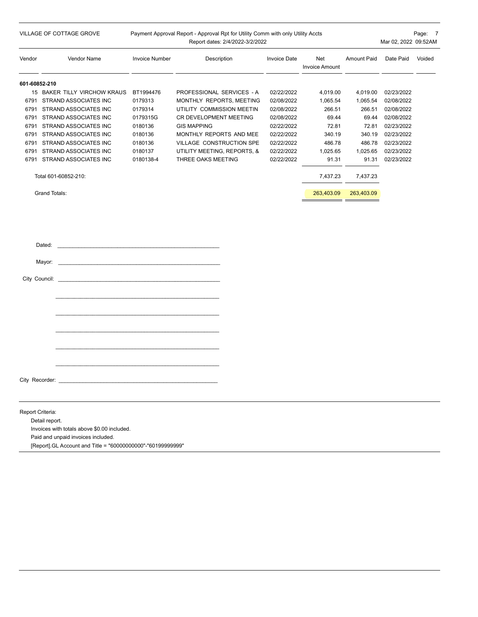| VILLAGE OF COTTAGE GROVE |                                                                                                                                    | Payment Approval Report - Approval Rpt for Utility Comm with only Utility Accts<br>Report dates: 2/4/2022-3/2/2022<br>Mar 02, 2022 09:52AM |                             |                     |                              |                    |            | Page: 7 |
|--------------------------|------------------------------------------------------------------------------------------------------------------------------------|--------------------------------------------------------------------------------------------------------------------------------------------|-----------------------------|---------------------|------------------------------|--------------------|------------|---------|
| Vendor                   | Vendor Name                                                                                                                        | <b>Invoice Number</b>                                                                                                                      | Description                 | <b>Invoice Date</b> | Net<br><b>Invoice Amount</b> | <b>Amount Paid</b> | Date Paid  | Voided  |
| 601-60852-210            |                                                                                                                                    |                                                                                                                                            |                             |                     |                              |                    |            |         |
|                          | 15 BAKER TILLY VIRCHOW KRAUS                                                                                                       | BT1994476                                                                                                                                  | PROFESSIONAL SERVICES - A   | 02/22/2022          | 4,019.00                     | 4,019.00           | 02/23/2022 |         |
|                          | 6791 STRAND ASSOCIATES INC                                                                                                         | 0179313                                                                                                                                    | MONTHLY REPORTS, MEETING    | 02/08/2022          | 1,065.54                     | 1,065.54           | 02/08/2022 |         |
|                          | 6791 STRAND ASSOCIATES INC                                                                                                         | 0179314                                                                                                                                    | UTILITY COMMISSION MEETIN   | 02/08/2022          | 266.51                       | 266.51             | 02/08/2022 |         |
|                          | 6791 STRAND ASSOCIATES INC                                                                                                         | 0179315G                                                                                                                                   | CR DEVELOPMENT MEETING      | 02/08/2022          | 69.44                        | 69.44              | 02/08/2022 |         |
|                          | 6791 STRAND ASSOCIATES INC                                                                                                         | 0180136                                                                                                                                    | <b>GIS MAPPING</b>          | 02/22/2022          | 72.81                        | 72.81              | 02/23/2022 |         |
|                          | 6791 STRAND ASSOCIATES INC                                                                                                         | 0180136                                                                                                                                    | MONTHLY REPORTS AND MEE     | 02/22/2022          | 340.19                       | 340.19             | 02/23/2022 |         |
|                          | 6791 STRAND ASSOCIATES INC                                                                                                         | 0180136                                                                                                                                    | VILLAGE CONSTRUCTION SPE    | 02/22/2022          | 486.78                       | 486.78             | 02/23/2022 |         |
|                          | 6791 STRAND ASSOCIATES INC                                                                                                         | 0180137                                                                                                                                    | UTILITY MEETING, REPORTS, & | 02/22/2022          | 1,025.65                     | 1,025.65           | 02/23/2022 |         |
|                          | 6791 STRAND ASSOCIATES INC                                                                                                         | 0180138-4                                                                                                                                  | THREE OAKS MEETING          | 02/22/2022          | 91.31                        | 91.31              | 02/23/2022 |         |
|                          | Total 601-60852-210:                                                                                                               |                                                                                                                                            |                             |                     | 7,437.23                     | 7,437.23           |            |         |
|                          | <b>Grand Totals:</b>                                                                                                               |                                                                                                                                            |                             |                     | 263,403.09                   | 263,403.09         |            |         |
|                          | Dated:<br>Mayor:<br>and the control of the control of the control of the control of the control of the control of<br>City Council: |                                                                                                                                            |                             |                     |                              |                    |            |         |

City Recorder: \_

Report Criteria:

Detail report. Invoices with totals above \$0.00 included. Paid and unpaid invoices included. [Report].GL Account and Title = "60000000000"-"60199999999"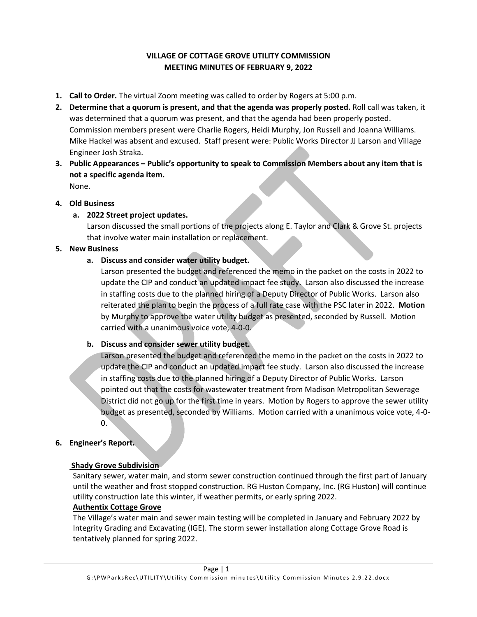# **VILLAGE OF COTTAGE GROVE UTILITY COMMISSION MEETING MINUTES OF FEBRUARY 9, 2022**

- **1. Call to Order.** The virtual Zoom meeting was called to order by Rogers at 5:00 p.m.
- **2. Determine that a quorum is present, and that the agenda was properly posted.** Roll call was taken, it was determined that a quorum was present, and that the agenda had been properly posted. Commission members present were Charlie Rogers, Heidi Murphy, Jon Russell and Joanna Williams. Mike Hackel was absent and excused. Staff present were: Public Works Director JJ Larson and Village Engineer Josh Straka.
- **3. Public Appearances – Public's opportunity to speak to Commission Members about any item that is not a specific agenda item.**  None.

# **4. Old Business**

**a. 2022 Street project updates.** 

Larson discussed the small portions of the projects along E. Taylor and Clark & Grove St. projects that involve water main installation or replacement.

# **5. New Business**

# **a. Discuss and consider water utility budget.**

Larson presented the budget and referenced the memo in the packet on the costs in 2022 to update the CIP and conduct an updated impact fee study. Larson also discussed the increase in staffing costs due to the planned hiring of a Deputy Director of Public Works. Larson also reiterated the plan to begin the process of a full rate case with the PSC later in 2022. **Motion** by Murphy to approve the water utility budget as presented, seconded by Russell. Motion carried with a unanimous voice vote, 4-0-0.

# **b. Discuss and consider sewer utility budget.**

Larson presented the budget and referenced the memo in the packet on the costs in 2022 to update the CIP and conduct an updated impact fee study. Larson also discussed the increase in staffing costs due to the planned hiring of a Deputy Director of Public Works. Larson pointed out that the costs for wastewater treatment from Madison Metropolitan Sewerage District did not go up for the first time in years. Motion by Rogers to approve the sewer utility budget as presented, seconded by Williams. Motion carried with a unanimous voice vote, 4-0-  $0.$ 

# **6. Engineer's Report.**

## **Shady Grove Subdivision**

Sanitary sewer, water main, and storm sewer construction continued through the first part of January until the weather and frost stopped construction. RG Huston Company, Inc. (RG Huston) will continue utility construction late this winter, if weather permits, or early spring 2022.

## **Authentix Cottage Grove**

The Village's water main and sewer main testing will be completed in January and February 2022 by Integrity Grading and Excavating (IGE). The storm sewer installation along Cottage Grove Road is tentatively planned for spring 2022.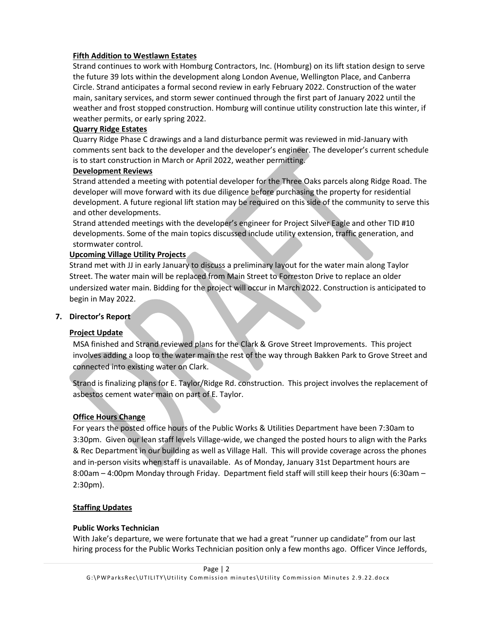# **Fifth Addition to Westlawn Estates**

Strand continues to work with Homburg Contractors, Inc. (Homburg) on its lift station design to serve the future 39 lots within the development along London Avenue, Wellington Place, and Canberra Circle. Strand anticipates a formal second review in early February 2022. Construction of the water main, sanitary services, and storm sewer continued through the first part of January 2022 until the weather and frost stopped construction. Homburg will continue utility construction late this winter, if weather permits, or early spring 2022.

## **Quarry Ridge Estates**

Quarry Ridge Phase C drawings and a land disturbance permit was reviewed in mid-January with comments sent back to the developer and the developer's engineer. The developer's current schedule is to start construction in March or April 2022, weather permitting.

## **Development Reviews**

Strand attended a meeting with potential developer for the Three Oaks parcels along Ridge Road. The developer will move forward with its due diligence before purchasing the property for residential development. A future regional lift station may be required on this side of the community to serve this and other developments.

Strand attended meetings with the developer's engineer for Project Silver Eagle and other TID #10 developments. Some of the main topics discussed include utility extension, traffic generation, and stormwater control.

# **Upcoming Village Utility Projects**

Strand met with JJ in early January to discuss a preliminary layout for the water main along Taylor Street. The water main will be replaced from Main Street to Forreston Drive to replace an older undersized water main. Bidding for the project will occur in March 2022. Construction is anticipated to begin in May 2022.

## **7. Director's Report**

# **Project Update**

MSA finished and Strand reviewed plans for the Clark & Grove Street Improvements. This project involves adding a loop to the water main the rest of the way through Bakken Park to Grove Street and connected into existing water on Clark.

Strand is finalizing plans for E. Taylor/Ridge Rd. construction. This project involves the replacement of asbestos cement water main on part of E. Taylor.

# **Office Hours Change**

For years the posted office hours of the Public Works & Utilities Department have been 7:30am to 3:30pm. Given our lean staff levels Village-wide, we changed the posted hours to align with the Parks & Rec Department in our building as well as Village Hall. This will provide coverage across the phones and in-person visits when staff is unavailable. As of Monday, January 31st Department hours are 8:00am – 4:00pm Monday through Friday. Department field staff will still keep their hours (6:30am – 2:30pm).

## **Staffing Updates**

## **Public Works Technician**

With Jake's departure, we were fortunate that we had a great "runner up candidate" from our last hiring process for the Public Works Technician position only a few months ago. Officer Vince Jeffords,